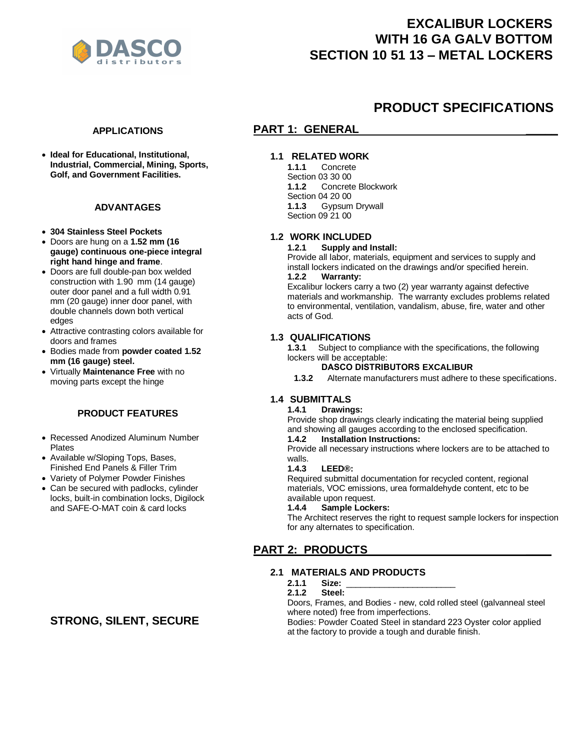

# **EXCALIBUR LOCKERS WITH 16 GA GALV BOTTOM SECTION 10 51 13 – METAL LOCKERS**

**PRODUCT SPECIFICATIONS** 

## **APPLICATIONS**

 **Ideal for Educational, Institutional, Industrial, Commercial, Mining, Sports, Golf, and Government Facilities.**

#### **ADVANTAGES**

- **304 Stainless Steel Pockets**
- Doors are hung on a **1.52 mm (16 gauge) continuous one-piece integral right hand hinge and frame**.
- Doors are full double-pan box welded construction with 1.90 mm (14 gauge) outer door panel and a full width 0.91 mm (20 gauge) inner door panel, with double channels down both vertical edges
- Attractive contrasting colors available for doors and frames
- Bodies made from **powder coated 1.52 mm (16 gauge) steel.**
- Virtually **Maintenance Free** with no moving parts except the hinge

## **PRODUCT FEATURES**

- Recessed Anodized Aluminum Number Plates
- Available w/Sloping Tops, Bases, Finished End Panels & Filler Trim
- Variety of Polymer Powder Finishes
- Can be secured with padlocks, cylinder locks, built-in combination locks, Digilock and SAFE-O-MAT coin & card locks

## **STRONG, SILENT, SECURE**

# **PART 1: GENERAL**

## **1.1 RELATED WORK**

**1.1.1** Concrete Section 03 30 00 **1.1.2** Concrete Blockwork Section 04 20 00<br>**1.1.3** Gypsum **1.1.3** Gypsum Drywall Section 09 21 00

#### **1.2 WORK INCLUDED**

#### **1.2.1 Supply and Install:**

Provide all labor, materials, equipment and services to supply and install lockers indicated on the drawings and/or specified herein.

#### **1.2.2 Warranty:**

Excalibur lockers carry a two (2) year warranty against defective materials and workmanship. The warranty excludes problems related to environmental, ventilation, vandalism, abuse, fire, water and other acts of God.

## **1.3 QUALIFICATIONS**

**1.3.1** Subject to compliance with the specifications, the following lockers will be acceptable:

## **DASCO DISTRIBUTORS EXCALIBUR**

**1.3.2** Alternate manufacturers must adhere to these specifications.

## **1.4 SUBMITTALS**

#### **1.4.1 Drawings:**

Provide shop drawings clearly indicating the material being supplied and showing all gauges according to the enclosed specification.

## **1.4.2 Installation Instructions:**

Provide all necessary instructions where lockers are to be attached to walls.<br>**1.4.3** 

#### **1.4.3 LEED®:**

Required submittal documentation for recycled content, regional materials, VOC emissions, urea formaldehyde content, etc to be available upon request.

#### **1.4.4 Sample Lockers:**

The Architect reserves the right to request sample lockers for inspection for any alternates to specification.

# **PART 2: PRODUCTS \_\_\_\_**

# **2.1 MATERIALS AND PRODUCTS**

#### $Size:$

#### **2.1.2 Steel:**

Doors, Frames, and Bodies - new, cold rolled steel (galvanneal steel where noted) free from imperfections.

Bodies: Powder Coated Steel in standard 223 Oyster color applied at the factory to provide a tough and durable finish.